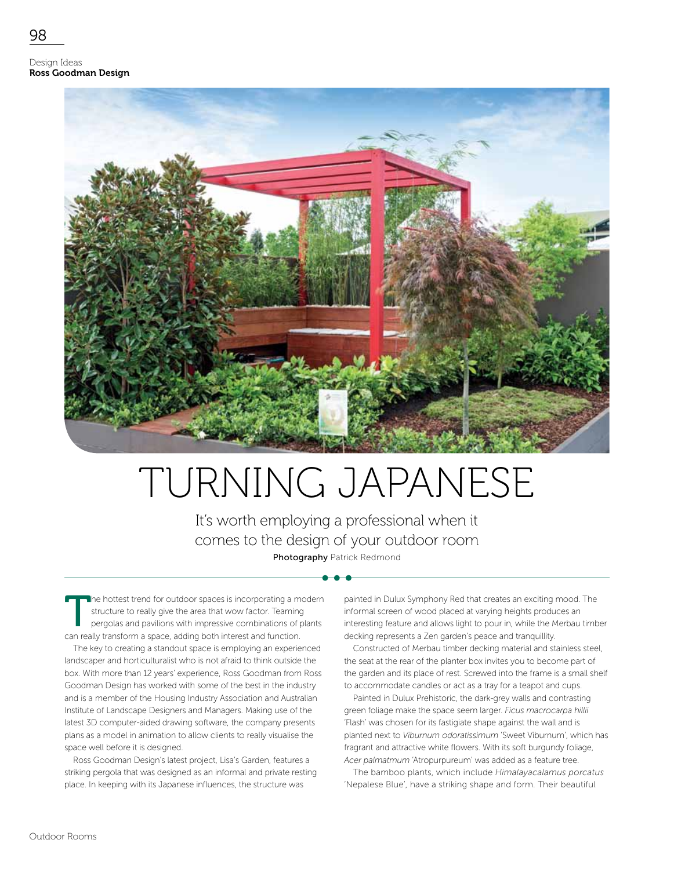Design Ideas Ross Goodman Design



## TURNING JAPANESE

It's worth employing a professional when it comes to the design of your outdoor room Photography Patrick Redmond

The hottest trend for outdoor spaces is incorporating a modern structure to really give the area that wow factor. Teaming pergolas and pavilions with impressive combinations of plants can really transform a space, adding both interest and function.

The key to creating a standout space is employing an experienced landscaper and horticulturalist who is not afraid to think outside the box. With more than 12 years' experience, Ross Goodman from Ross Goodman Design has worked with some of the best in the industry and is a member of the Housing Industry Association and Australian Institute of Landscape Designers and Managers. Making use of the latest 3D computer-aided drawing software, the company presents plans as a model in animation to allow clients to really visualise the space well before it is designed.

Ross Goodman Design's latest project, Lisa's Garden, features a striking pergola that was designed as an informal and private resting place. In keeping with its Japanese influences, the structure was

painted in Dulux Symphony Red that creates an exciting mood. The informal screen of wood placed at varying heights produces an interesting feature and allows light to pour in, while the Merbau timber decking represents a Zen garden's peace and tranquillity.

Constructed of Merbau timber decking material and stainless steel, the seat at the rear of the planter box invites you to become part of the garden and its place of rest. Screwed into the frame is a small shelf to accommodate candles or act as a tray for a teapot and cups.

Painted in Dulux Prehistoric, the dark-grey walls and contrasting green foliage make the space seem larger. *Ficus macrocarpa hillii*  'Flash' was chosen for its fastigiate shape against the wall and is planted next to *Viburnum odoratissimum* 'Sweet Viburnum', which has fragrant and attractive white flowers. With its soft burgundy foliage, *Acer palmatmum* 'Atropurpureum' was added as a feature tree.

The bamboo plants, which include *Himalayacalamus porcatus*  'Nepalese Blue', have a striking shape and form. Their beautiful